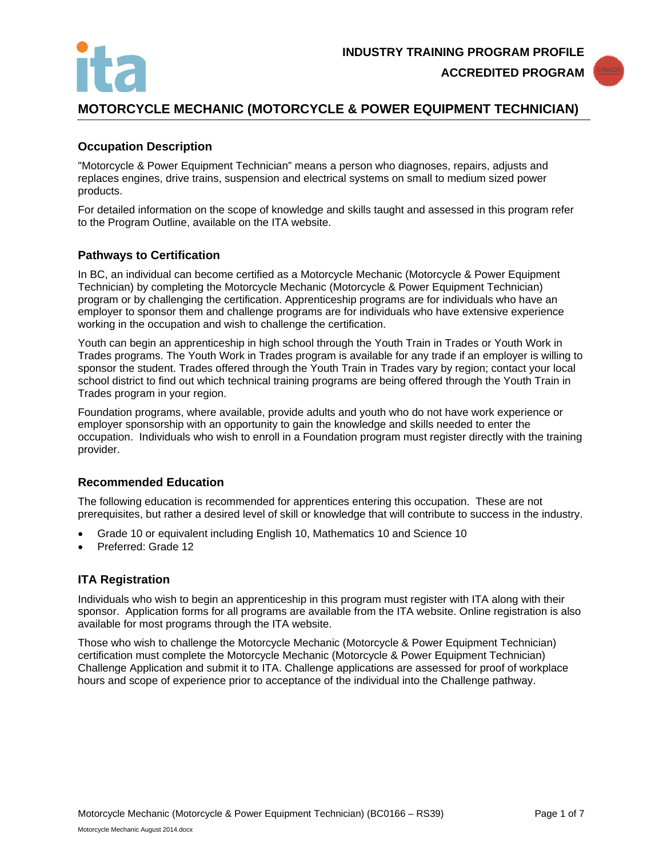



# **MOTORCYCLE MECHANIC (MOTORCYCLE & POWER EQUIPMENT TECHNICIAN)**

## **Occupation Description**

"Motorcycle & Power Equipment Technician" means a person who diagnoses, repairs, adjusts and replaces engines, drive trains, suspension and electrical systems on small to medium sized power products.

For detailed information on the scope of knowledge and skills taught and assessed in this program refer to the Program Outline, available on the ITA website.

### **Pathways to Certification**

In BC, an individual can become certified as a Motorcycle Mechanic (Motorcycle & Power Equipment Technician) by completing the Motorcycle Mechanic (Motorcycle & Power Equipment Technician) program or by challenging the certification. Apprenticeship programs are for individuals who have an employer to sponsor them and challenge programs are for individuals who have extensive experience working in the occupation and wish to challenge the certification.

Youth can begin an apprenticeship in high school through the Youth Train in Trades or Youth Work in Trades programs. The Youth Work in Trades program is available for any trade if an employer is willing to sponsor the student. Trades offered through the Youth Train in Trades vary by region; contact your local school district to find out which technical training programs are being offered through the Youth Train in Trades program in your region.

Foundation programs, where available, provide adults and youth who do not have work experience or employer sponsorship with an opportunity to gain the knowledge and skills needed to enter the occupation. Individuals who wish to enroll in a Foundation program must register directly with the training provider.

### **Recommended Education**

The following education is recommended for apprentices entering this occupation. These are not prerequisites, but rather a desired level of skill or knowledge that will contribute to success in the industry.

- Grade 10 or equivalent including English 10, Mathematics 10 and Science 10
- Preferred: Grade 12

### **ITA Registration**

Individuals who wish to begin an apprenticeship in this program must register with ITA along with their sponsor. Application forms for all programs are available from the ITA website. Online registration is also available for most programs through the ITA website.

Those who wish to challenge the Motorcycle Mechanic (Motorcycle & Power Equipment Technician) certification must complete the Motorcycle Mechanic (Motorcycle & Power Equipment Technician) Challenge Application and submit it to ITA. Challenge applications are assessed for proof of workplace hours and scope of experience prior to acceptance of the individual into the Challenge pathway.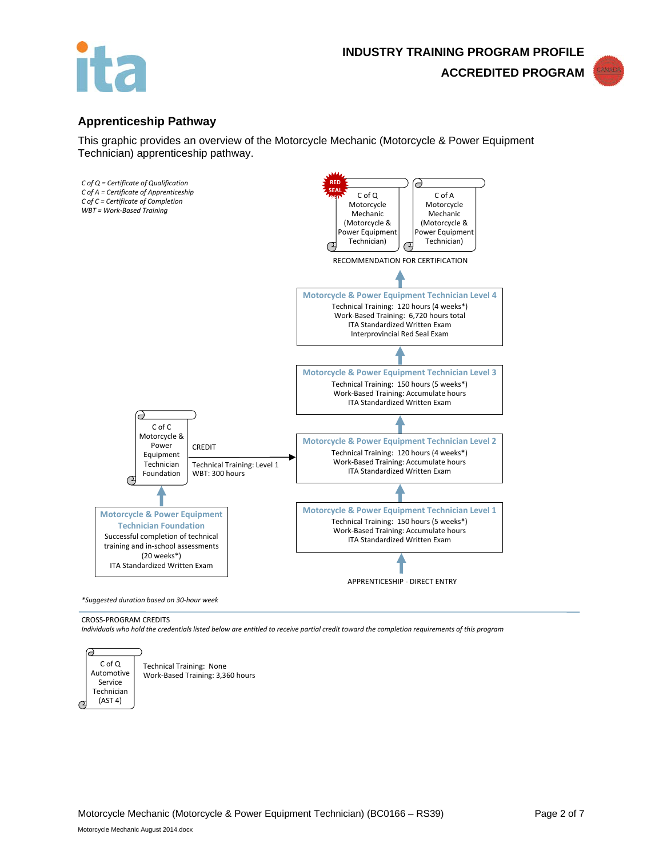



# **Apprenticeship Pathway**

This graphic provides an overview of the Motorcycle Mechanic (Motorcycle & Power Equipment Technician) apprenticeship pathway.



#### CROSS-PROGRAM CREDITS

*Individuals who hold the credentials listed below are entitled to receive partial credit toward the completion requirements of this program*



Technical Training: None Work-Based Training: 3,360 hours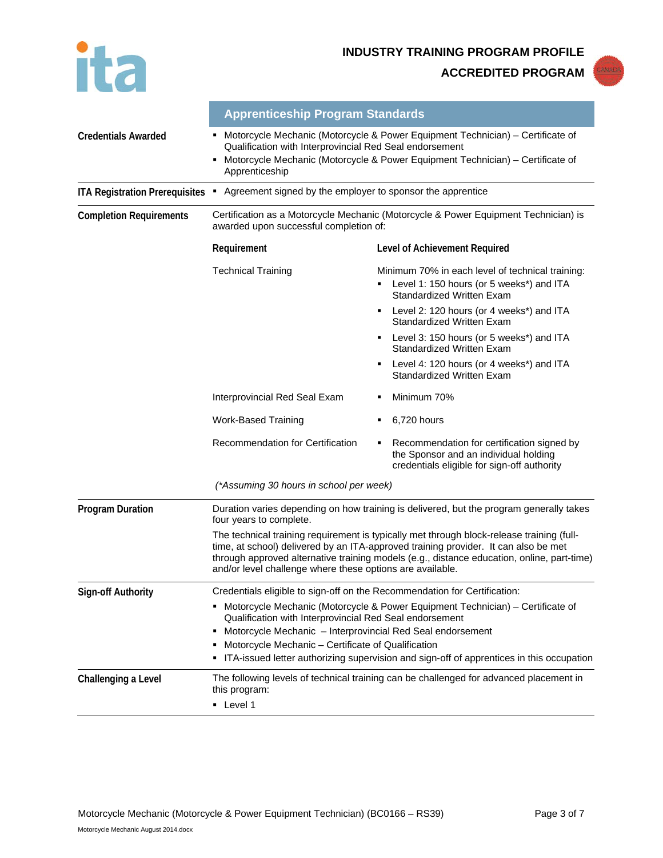

**INDUSTRY TRAINING PROGRAM PROFILE**

**ACCREDITED PROGRAM**



|                                | <b>Apprenticeship Program Standards</b>                                                                                                                                                                                                                                                                                                     |                                                                                                                                    |  |
|--------------------------------|---------------------------------------------------------------------------------------------------------------------------------------------------------------------------------------------------------------------------------------------------------------------------------------------------------------------------------------------|------------------------------------------------------------------------------------------------------------------------------------|--|
| <b>Credentials Awarded</b>     | Motorcycle Mechanic (Motorcycle & Power Equipment Technician) – Certificate of<br>Qualification with Interprovincial Red Seal endorsement<br>Motorcycle Mechanic (Motorcycle & Power Equipment Technician) - Certificate of<br>Apprenticeship                                                                                               |                                                                                                                                    |  |
|                                | ITA Registration Prerequisites . Agreement signed by the employer to sponsor the apprentice                                                                                                                                                                                                                                                 |                                                                                                                                    |  |
| <b>Completion Requirements</b> | awarded upon successful completion of:                                                                                                                                                                                                                                                                                                      | Certification as a Motorcycle Mechanic (Motorcycle & Power Equipment Technician) is                                                |  |
|                                | Requirement                                                                                                                                                                                                                                                                                                                                 | Level of Achievement Required                                                                                                      |  |
|                                | <b>Technical Training</b>                                                                                                                                                                                                                                                                                                                   | Minimum 70% in each level of technical training:<br>Level 1: 150 hours (or 5 weeks*) and ITA<br><b>Standardized Written Exam</b>   |  |
|                                |                                                                                                                                                                                                                                                                                                                                             | Level 2: 120 hours (or 4 weeks*) and ITA<br>٠<br>Standardized Written Exam                                                         |  |
|                                |                                                                                                                                                                                                                                                                                                                                             | Level 3: 150 hours (or 5 weeks*) and ITA<br>٠<br>Standardized Written Exam                                                         |  |
|                                |                                                                                                                                                                                                                                                                                                                                             | Level 4: 120 hours (or 4 weeks*) and ITA<br>٠<br><b>Standardized Written Exam</b>                                                  |  |
|                                | Interprovincial Red Seal Exam                                                                                                                                                                                                                                                                                                               | Minimum 70%<br>٠                                                                                                                   |  |
|                                | <b>Work-Based Training</b>                                                                                                                                                                                                                                                                                                                  | 6,720 hours<br>٠                                                                                                                   |  |
|                                | Recommendation for Certification                                                                                                                                                                                                                                                                                                            | Recommendation for certification signed by<br>the Sponsor and an individual holding<br>credentials eligible for sign-off authority |  |
|                                | (*Assuming 30 hours in school per week)                                                                                                                                                                                                                                                                                                     |                                                                                                                                    |  |
| <b>Program Duration</b>        | Duration varies depending on how training is delivered, but the program generally takes<br>four years to complete.                                                                                                                                                                                                                          |                                                                                                                                    |  |
|                                | The technical training requirement is typically met through block-release training (full-<br>time, at school) delivered by an ITA-approved training provider. It can also be met<br>through approved alternative training models (e.g., distance education, online, part-time)<br>and/or level challenge where these options are available. |                                                                                                                                    |  |
| <b>Sign-off Authority</b>      | Credentials eligible to sign-off on the Recommendation for Certification:                                                                                                                                                                                                                                                                   |                                                                                                                                    |  |
|                                | Motorcycle Mechanic (Motorcycle & Power Equipment Technician) – Certificate of<br>Qualification with Interprovincial Red Seal endorsement                                                                                                                                                                                                   |                                                                                                                                    |  |
|                                | Motorcycle Mechanic - Interprovincial Red Seal endorsement                                                                                                                                                                                                                                                                                  |                                                                                                                                    |  |
|                                | Motorcycle Mechanic - Certificate of Qualification<br>ITA-issued letter authorizing supervision and sign-off of apprentices in this occupation                                                                                                                                                                                              |                                                                                                                                    |  |
| Challenging a Level            | The following levels of technical training can be challenged for advanced placement in<br>this program:                                                                                                                                                                                                                                     |                                                                                                                                    |  |
|                                | • Level 1                                                                                                                                                                                                                                                                                                                                   |                                                                                                                                    |  |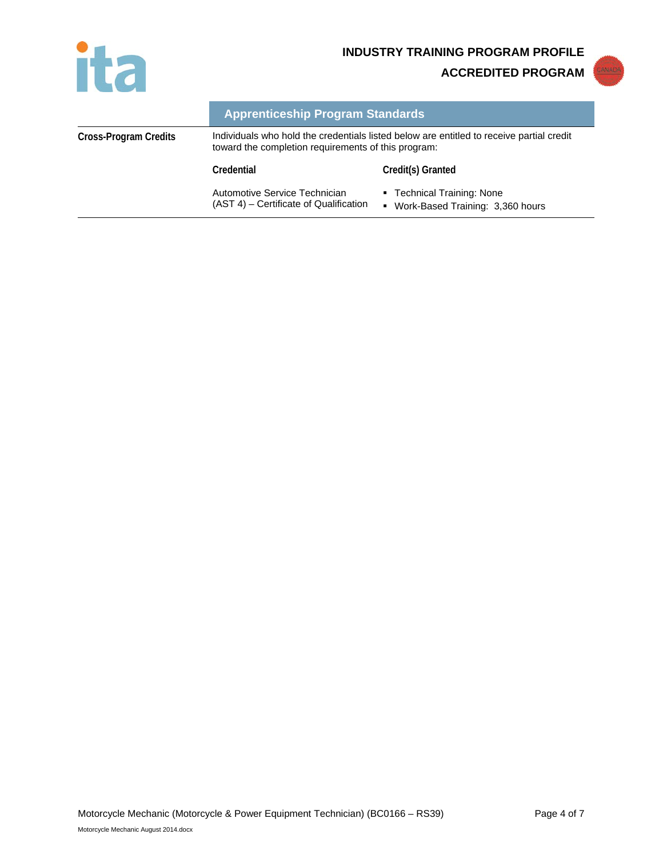

**INDUSTRY TRAINING PROGRAM PROFILE**

**ACCREDITED PROGRAM**



|                       | <b>Apprenticeship Program Standards</b>                                                                                                         |                                                                                  |
|-----------------------|-------------------------------------------------------------------------------------------------------------------------------------------------|----------------------------------------------------------------------------------|
| Cross-Program Credits | Individuals who hold the credentials listed below are entitled to receive partial credit<br>toward the completion requirements of this program: |                                                                                  |
|                       | Credential                                                                                                                                      | Credit(s) Granted                                                                |
|                       | Automotive Service Technician<br>(AST 4) – Certificate of Qualification                                                                         | • Technical Training: None<br>Work-Based Training: 3,360 hours<br>$\blacksquare$ |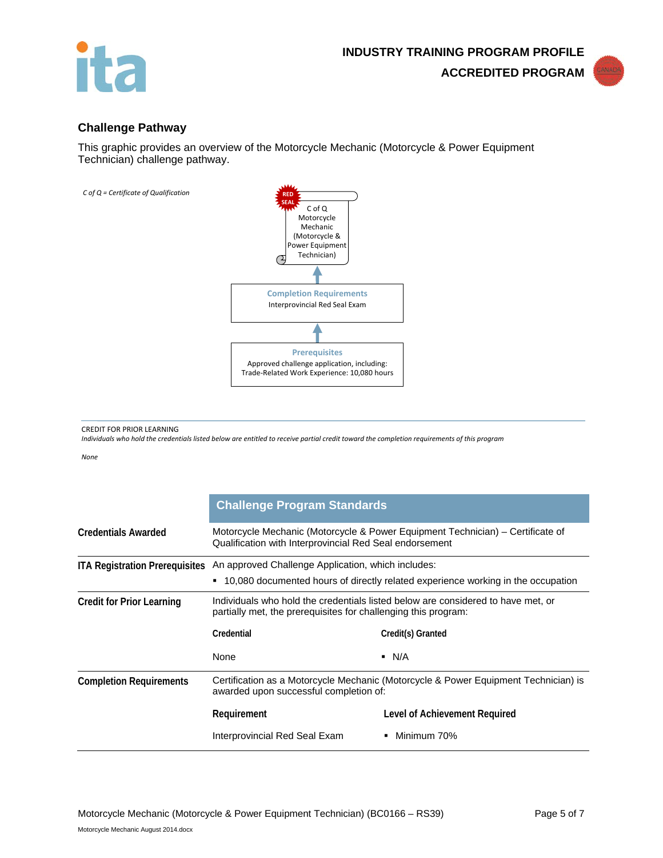



## **Challenge Pathway**

This graphic provides an overview of the Motorcycle Mechanic (Motorcycle & Power Equipment Technician) challenge pathway.



CREDIT FOR PRIOR LEARNING

*Individuals who hold the credentials listed below are entitled to receive partial credit toward the completion requirements of this program*

*None*

|                                       | <b>Challenge Program Standards</b>                                                                                                                 |                               |  |
|---------------------------------------|----------------------------------------------------------------------------------------------------------------------------------------------------|-------------------------------|--|
| <b>Credentials Awarded</b>            | Motorcycle Mechanic (Motorcycle & Power Equipment Technician) – Certificate of<br>Qualification with Interprovincial Red Seal endorsement          |                               |  |
| <b>ITA Registration Prerequisites</b> | An approved Challenge Application, which includes:                                                                                                 |                               |  |
|                                       | ■ 10,080 documented hours of directly related experience working in the occupation                                                                 |                               |  |
| <b>Credit for Prior Learning</b>      | Individuals who hold the credentials listed below are considered to have met, or<br>partially met, the prerequisites for challenging this program: |                               |  |
|                                       | Credential                                                                                                                                         | Credit(s) Granted             |  |
|                                       | None                                                                                                                                               | $\blacksquare$ N/A            |  |
| <b>Completion Requirements</b>        | Certification as a Motorcycle Mechanic (Motorcycle & Power Equipment Technician) is<br>awarded upon successful completion of:                      |                               |  |
|                                       | Requirement                                                                                                                                        | Level of Achievement Required |  |
|                                       | Interprovincial Red Seal Exam                                                                                                                      | Minimum 70%<br>$\mathbf{r}$   |  |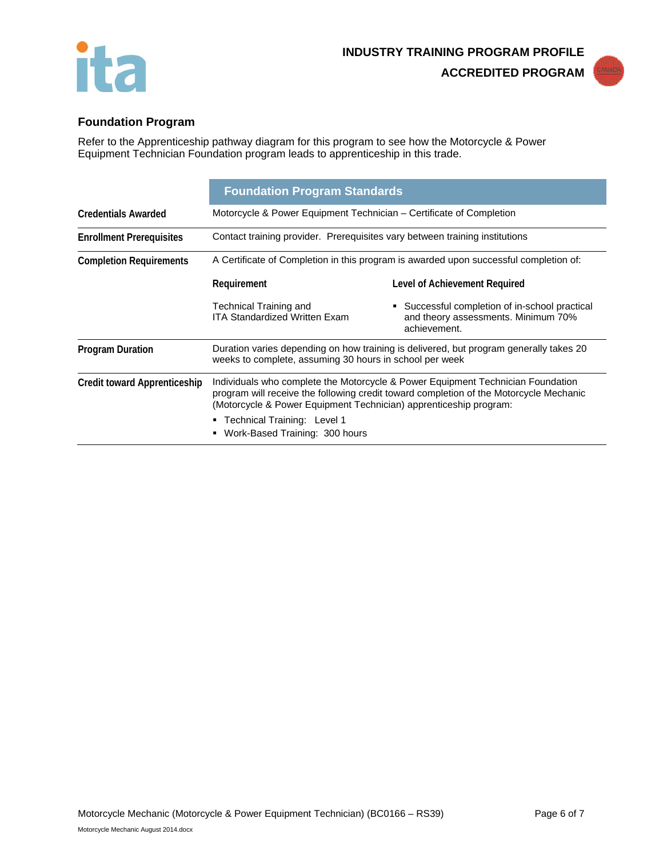



# **Foundation Program**

Refer to the Apprenticeship pathway diagram for this program to see how the Motorcycle & Power Equipment Technician Foundation program leads to apprenticeship in this trade.

|                                     | <b>Foundation Program Standards</b>                                                                                                                                                                                                            |                                                                                                       |
|-------------------------------------|------------------------------------------------------------------------------------------------------------------------------------------------------------------------------------------------------------------------------------------------|-------------------------------------------------------------------------------------------------------|
| <b>Credentials Awarded</b>          | Motorcycle & Power Equipment Technician - Certificate of Completion                                                                                                                                                                            |                                                                                                       |
| <b>Enrollment Prerequisites</b>     | Contact training provider. Prerequisites vary between training institutions                                                                                                                                                                    |                                                                                                       |
| <b>Completion Requirements</b>      | A Certificate of Completion in this program is awarded upon successful completion of:                                                                                                                                                          |                                                                                                       |
|                                     | Requirement                                                                                                                                                                                                                                    | Level of Achievement Required                                                                         |
|                                     | Technical Training and<br><b>ITA Standardized Written Exam</b>                                                                                                                                                                                 | • Successful completion of in-school practical<br>and theory assessments. Minimum 70%<br>achievement. |
| <b>Program Duration</b>             | Duration varies depending on how training is delivered, but program generally takes 20<br>weeks to complete, assuming 30 hours in school per week                                                                                              |                                                                                                       |
| <b>Credit toward Apprenticeship</b> | Individuals who complete the Motorcycle & Power Equipment Technician Foundation<br>program will receive the following credit toward completion of the Motorcycle Mechanic<br>(Motorcycle & Power Equipment Technician) apprenticeship program: |                                                                                                       |
|                                     | • Technical Training: Level 1<br>Work-Based Training: 300 hours<br>٠                                                                                                                                                                           |                                                                                                       |